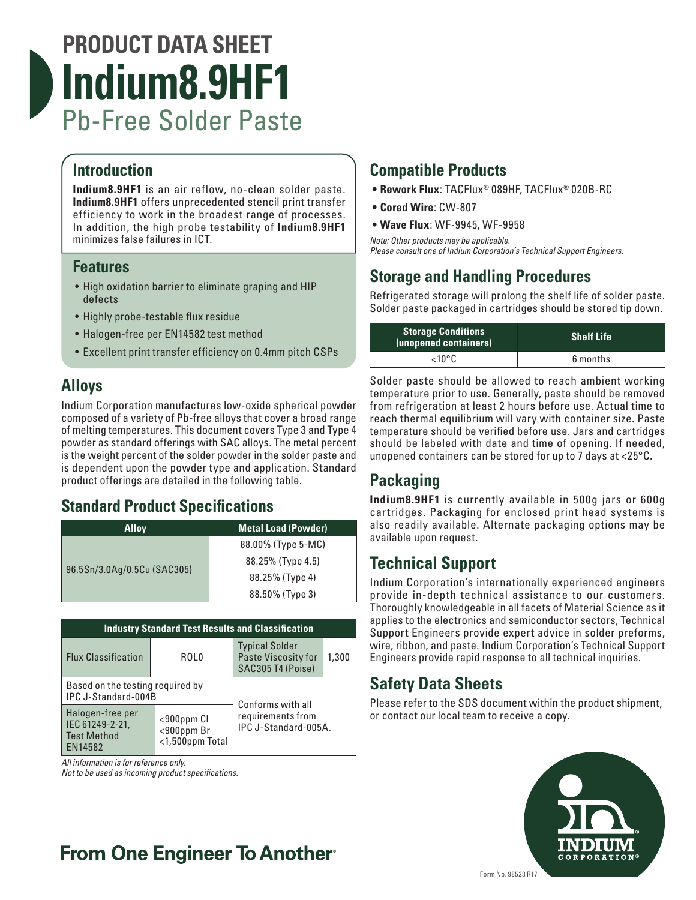# **PRODUCT DATA SHEET Indium8.9HF1** Pb-Free Solder Paste

# **Introduction**

**Indium8.9HF1** is an air reflow, no-clean solder paste. **Indium8.9HF1** offers unprecedented stencil print transfer efficiency to work in the broadest range of processes. In addition, the high probe testability of **Indium8.9HF1** minimizes false failures in ICT.

### **Features**

- High oxidation barrier to eliminate graping and HIP defects
- Highly probe-testable flux residue
- Halogen-free per EN14582 test method
- Excellent print transfer efficiency on 0.4mm pitch CSPs

## **Alloys**

Indium Corporation manufactures low-oxide spherical powder composed of a variety of Pb-free alloys that cover a broad range of melting temperatures. This document covers Type 3 and Type 4 powder as standard offerings with SAC alloys. The metal percent is the weight percent of the solder powder in the solder paste and is dependent upon the powder type and application. Standard product offerings are detailed in the following table.

## **Standard Product Specifications**

| <b>Alloy</b>                | <b>Metal Load (Powder)</b> |
|-----------------------------|----------------------------|
| 96.5Sn/3.0Ag/0.5Cu (SAC305) | 88.00% (Type 5-MC)         |
|                             | 88.25% (Type 4.5)          |
|                             | 88.25% (Type 4)            |
|                             | 88.50% (Type 3)            |

| <b>Industry Standard Test Results and Classification</b>             |                                                                                                   |                                                                   |       |  |  |
|----------------------------------------------------------------------|---------------------------------------------------------------------------------------------------|-------------------------------------------------------------------|-------|--|--|
| <b>Flux Classification</b>                                           | ROL0                                                                                              | <b>Typical Solder</b><br>Paste Viscosity for<br>SAC305 T4 (Poise) | 1,300 |  |  |
| Based on the testing required by<br>IPC J-Standard-004B              |                                                                                                   | Conforms with all                                                 |       |  |  |
| Halogen-free per<br>IEC 61249-2-21,<br><b>Test Method</b><br>EN14582 | requirements from<br>$<$ 900 $ppm$ Cl<br>IPC J-Standard-005A.<br><900ppm Br<br>$<$ 1,500ppm Total |                                                                   |       |  |  |

*All information is for reference only.*

*Not to be used as incoming product specifications.*

# **Compatible Products**

- **• Rework Flux**: TACFlux® 089HF, TACFlux® 020B-RC
- **• Cored Wire**: CW-807
- **• Wave Flux**: WF-9945, WF-9958

*Note: Other products may be applicable. Please consult one of Indium Corporation's Technical Support Engineers.*

# **Storage and Handling Procedures**

Refrigerated storage will prolong the shelf life of solder paste. Solder paste packaged in cartridges should be stored tip down.

| <b>Storage Conditions</b><br>(unopened containers) | <b>Shelf Life</b> |
|----------------------------------------------------|-------------------|
| <10°C.                                             | 6 months          |

Solder paste should be allowed to reach ambient working temperature prior to use. Generally, paste should be removed from refrigeration at least 2 hours before use. Actual time to reach thermal equilibrium will vary with container size. Paste temperature should be verified before use. Jars and cartridges should be labeled with date and time of opening. If needed, unopened containers can be stored for up to 7 days at <25°C.

# **Packaging**

**Indium8.9HF1** is currently available in 500g jars or 600g cartridges. Packaging for enclosed print head systems is also readily available. Alternate packaging options may be available upon request.

# **Technical Support**

Indium Corporation's internationally experienced engineers provide in-depth technical assistance to our customers. Thoroughly knowledgeable in all facets of Material Science as it applies to the electronics and semiconductor sectors, Technical Support Engineers provide expert advice in solder preforms, wire, ribbon, and paste. Indium Corporation's Technical Support Engineers provide rapid response to all technical inquiries.

## **Safety Data Sheets**

Please refer to the SDS document within the product shipment, or contact our local team to receive a copy.



# **From One Engineer To Another**®